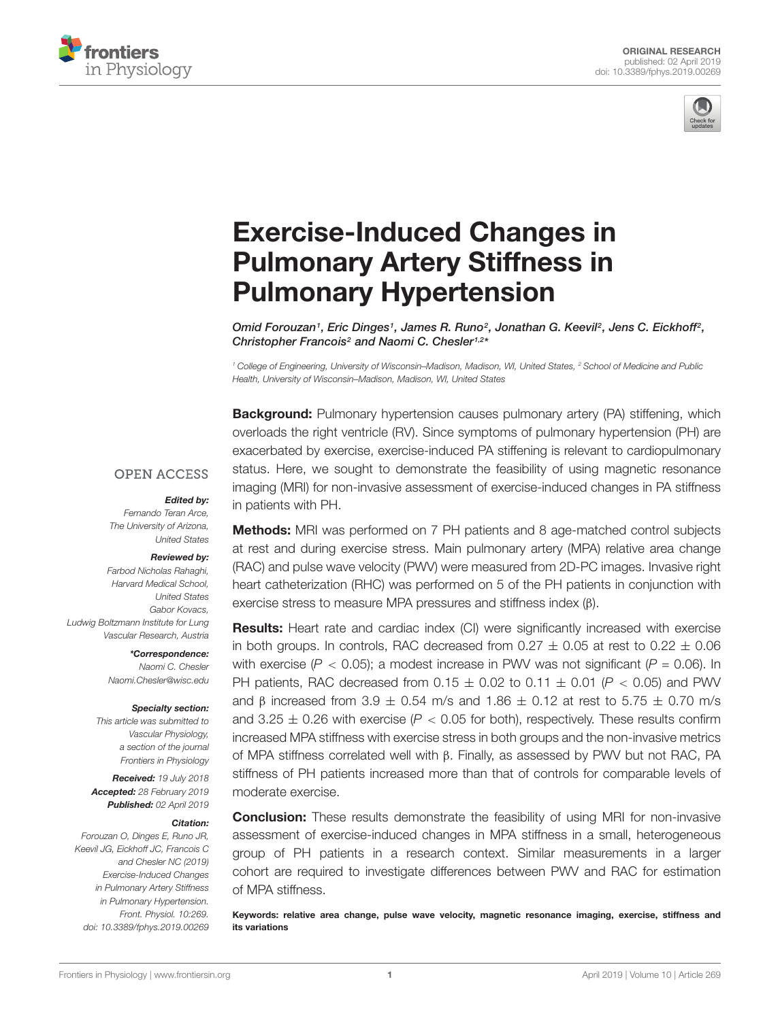



# Exercise-Induced Changes in [Pulmonary Artery Stiffness in](https://www.frontiersin.org/articles/10.3389/fphys.2019.00269/full) Pulmonary Hypertension

Omid Forouzan1, Eric Dinges1, James R. Runo<sup>2</sup>, Jonathan G. Keevil<sup>2</sup>, Jens C. Eickhoff<sup>2</sup>, Christopher Francois<sup>2</sup> and [Naomi C. Chesler](http://loop.frontiersin.org/people/124871/overview)<sup>1,2\*</sup>

<sup>1</sup> College of Engineering, University of Wisconsin–Madison, Madison, WI, United States, <sup>2</sup> School of Medicine and Public Health, University of Wisconsin–Madison, Madison, WI, United States

**Background:** Pulmonary hypertension causes pulmonary artery (PA) stiffening, which overloads the right ventricle (RV). Since symptoms of pulmonary hypertension (PH) are exacerbated by exercise, exercise-induced PA stiffening is relevant to cardiopulmonary status. Here, we sought to demonstrate the feasibility of using magnetic resonance imaging (MRI) for non-invasive assessment of exercise-induced changes in PA stiffness in patients with PH.

#### **OPEN ACCESS**

#### Edited by:

Fernando Teran Arce, The University of Arizona, United States

#### Reviewed by:

Farbod Nicholas Rahaghi, Harvard Medical School, United States Gabor Kovacs, Ludwig Boltzmann Institute for Lung Vascular Research, Austria

> \*Correspondence: Naomi C. Chesler Naomi.Chesler@wisc.edu

#### Specialty section:

This article was submitted to Vascular Physiology, a section of the journal Frontiers in Physiology

Received: 19 July 2018 Accepted: 28 February 2019 Published: 02 April 2019

#### Citation:

Forouzan O, Dinges E, Runo JR, Keevil JG, Eickhoff JC, Francois C and Chesler NC (2019) Exercise-Induced Changes in Pulmonary Artery Stiffness in Pulmonary Hypertension. Front. Physiol. 10:269. doi: [10.3389/fphys.2019.00269](https://doi.org/10.3389/fphys.2019.00269)

Methods: MRI was performed on 7 PH patients and 8 age-matched control subjects at rest and during exercise stress. Main pulmonary artery (MPA) relative area change (RAC) and pulse wave velocity (PWV) were measured from 2D-PC images. Invasive right heart catheterization (RHC) was performed on 5 of the PH patients in conjunction with exercise stress to measure MPA pressures and stiffness index (β).

**Results:** Heart rate and cardiac index (CI) were significantly increased with exercise in both groups. In controls, RAC decreased from  $0.27 \pm 0.05$  at rest to  $0.22 \pm 0.06$ with exercise ( $P < 0.05$ ); a modest increase in PWV was not significant ( $P = 0.06$ ). In PH patients, RAC decreased from  $0.15 \pm 0.02$  to  $0.11 \pm 0.01$  (P < 0.05) and PWV and β increased from 3.9  $\pm$  0.54 m/s and 1.86  $\pm$  0.12 at rest to 5.75  $\pm$  0.70 m/s and 3.25  $\pm$  0.26 with exercise (P < 0.05 for both), respectively. These results confirm increased MPA stiffness with exercise stress in both groups and the non-invasive metrics of MPA stiffness correlated well with β. Finally, as assessed by PWV but not RAC, PA stiffness of PH patients increased more than that of controls for comparable levels of moderate exercise.

**Conclusion:** These results demonstrate the feasibility of using MRI for non-invasive assessment of exercise-induced changes in MPA stiffness in a small, heterogeneous group of PH patients in a research context. Similar measurements in a larger cohort are required to investigate differences between PWV and RAC for estimation of MPA stiffness.

Keywords: relative area change, pulse wave velocity, magnetic resonance imaging, exercise, stiffness and its variations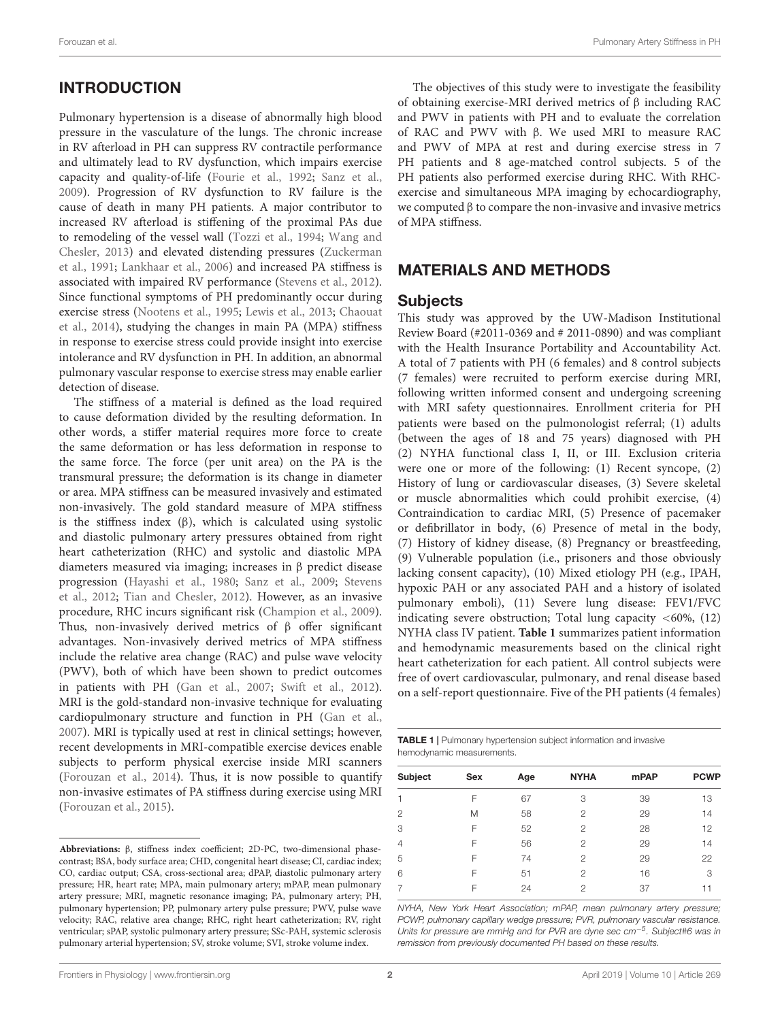# **INTRODUCTION**

Pulmonary hypertension is a disease of abnormally high blood pressure in the vasculature of the lungs. The chronic increase in RV afterload in PH can suppress RV contractile performance and ultimately lead to RV dysfunction, which impairs exercise capacity and quality-of-life [\(Fourie et al.,](#page-6-0) [1992;](#page-6-0) [Sanz et al.,](#page-7-0) [2009\)](#page-7-0). Progression of RV dysfunction to RV failure is the cause of death in many PH patients. A major contributor to increased RV afterload is stiffening of the proximal PAs due to remodeling of the vessel wall [\(Tozzi et al.,](#page-7-1) [1994;](#page-7-1) [Wang and](#page-7-2) [Chesler,](#page-7-2) [2013\)](#page-7-2) and elevated distending pressures [\(Zuckerman](#page-7-3) [et al.,](#page-7-3) [1991;](#page-7-3) [Lankhaar et al.,](#page-7-4) [2006\)](#page-7-4) and increased PA stiffness is associated with impaired RV performance [\(Stevens et al.,](#page-7-5) [2012\)](#page-7-5). Since functional symptoms of PH predominantly occur during exercise stress [\(Nootens et al.,](#page-7-6) [1995;](#page-7-6) [Lewis et al.,](#page-7-7) [2013;](#page-7-7) [Chaouat](#page-6-1) [et al.,](#page-6-1) [2014\)](#page-6-1), studying the changes in main PA (MPA) stiffness in response to exercise stress could provide insight into exercise intolerance and RV dysfunction in PH. In addition, an abnormal pulmonary vascular response to exercise stress may enable earlier detection of disease[.](#page-1-0)

The stiffness of a material is defined as the load required to cause deformation divided by the resulting deformation. In other words, a stiffer material requires more force to create the same deformation or has less deformation in response to the same force. The force (per unit area) on the PA is the transmural pressure; the deformation is its change in diameter or area. MPA stiffness can be measured invasively and estimated non-invasively. The gold standard measure of MPA stiffness is the stiffness index (β), which is calculated using systolic and diastolic pulmonary artery pressures obtained from right heart catheterization (RHC) and systolic and diastolic MPA diameters measured via imaging; increases in β predict disease progression [\(Hayashi et al.,](#page-7-8) [1980;](#page-7-8) [Sanz et al.,](#page-7-0) [2009;](#page-7-0) [Stevens](#page-7-5) [et al.,](#page-7-5) [2012;](#page-7-5) [Tian and Chesler,](#page-7-9) [2012\)](#page-7-9). However, as an invasive procedure, RHC incurs significant risk [\(Champion et al.,](#page-6-2) [2009\)](#page-6-2). Thus, non-invasively derived metrics of β offer significant advantages. Non-invasively derived metrics of MPA stiffness include the relative area change (RAC) and pulse wave velocity (PWV), both of which have been shown to predict outcomes in patients with PH [\(Gan et al.,](#page-6-3) [2007;](#page-6-3) [Swift et al.,](#page-7-10) [2012\)](#page-7-10). MRI is the gold-standard non-invasive technique for evaluating cardiopulmonary structure and function in PH [\(Gan et al.,](#page-6-3) [2007\)](#page-6-3). MRI is typically used at rest in clinical settings; however, recent developments in MRI-compatible exercise devices enable subjects to perform physical exercise inside MRI scanners [\(Forouzan et al.,](#page-6-4) [2014\)](#page-6-4). Thus, it is now possible to quantify non-invasive estimates of PA stiffness during exercise using MRI [\(Forouzan et al.,](#page-6-5) [2015\)](#page-6-5).

The objectives of this study were to investigate the feasibility of obtaining exercise-MRI derived metrics of β including RAC and PWV in patients with PH and to evaluate the correlation of RAC and PWV with β. We used MRI to measure RAC and PWV of MPA at rest and during exercise stress in 7 PH patients and 8 age-matched control subjects. 5 of the PH patients also performed exercise during RHC. With RHCexercise and simultaneous MPA imaging by echocardiography, we computed  $β$  to compare the non-invasive and invasive metrics of MPA stiffness.

## MATERIALS AND METHODS

#### **Subjects**

This study was approved by the UW-Madison Institutional Review Board (#2011-0369 and # 2011-0890) and was compliant with the Health Insurance Portability and Accountability Act. A total of 7 patients with PH (6 females) and 8 control subjects (7 females) were recruited to perform exercise during MRI, following written informed consent and undergoing screening with MRI safety questionnaires. Enrollment criteria for PH patients were based on the pulmonologist referral; (1) adults (between the ages of 18 and 75 years) diagnosed with PH (2) NYHA functional class I, II, or III. Exclusion criteria were one or more of the following: (1) Recent syncope, (2) History of lung or cardiovascular diseases, (3) Severe skeletal or muscle abnormalities which could prohibit exercise, (4) Contraindication to cardiac MRI, (5) Presence of pacemaker or defibrillator in body, (6) Presence of metal in the body, (7) History of kidney disease, (8) Pregnancy or breastfeeding, (9) Vulnerable population (i.e., prisoners and those obviously lacking consent capacity), (10) Mixed etiology PH (e.g., IPAH, hypoxic PAH or any associated PAH and a history of isolated pulmonary emboli), (11) Severe lung disease: FEV1/FVC indicating severe obstruction; Total lung capacity  $\langle 60\%, (12) \rangle$ NYHA class IV patient. **[Table 1](#page-1-1)** summarizes patient information and hemodynamic measurements based on the clinical right heart catheterization for each patient. All control subjects were free of overt cardiovascular, pulmonary, and renal disease based on a self-report questionnaire. Five of the PH patients (4 females)

<span id="page-1-1"></span>

| <b>TABLE 1</b>   Pulmonary hypertension subject information and invasive |  |
|--------------------------------------------------------------------------|--|
| hemodynamic measurements.                                                |  |

| Subject        | Sex | Age | <b>NYHA</b>    | <b>mPAP</b> | <b>PCWP</b> |
|----------------|-----|-----|----------------|-------------|-------------|
|                | F   | 67  | 3              | 39          | 13          |
| $\mathfrak{p}$ | Μ   | 58  | $\mathfrak{p}$ | 29          | 14          |
| 3              | F   | 52  | $\mathfrak{p}$ | 28          | 12          |
| $\overline{4}$ | F   | 56  | $\mathfrak{p}$ | 29          | 14          |
| 5              | F   | 74  | $\mathcal{P}$  | 29          | 22          |
| 6              | F   | 51  | $\mathfrak{D}$ | 16          | 3           |
|                | F   | 24  | 2              | 37          |             |

NYHA, New York Heart Association; mPAP, mean pulmonary artery pressure; PCWP, pulmonary capillary wedge pressure; PVR, pulmonary vascular resistance. Units for pressure are mmHg and for PVR are dyne sec cm<sup>-5</sup>. Subject#6 was in remission from previously documented PH based on these results.

<span id="page-1-0"></span>**Abbreviations:** β, stiffness index coefficient; 2D-PC, two-dimensional phasecontrast; BSA, body surface area; CHD, congenital heart disease; CI, cardiac index; CO, cardiac output; CSA, cross-sectional area; dPAP, diastolic pulmonary artery pressure; HR, heart rate; MPA, main pulmonary artery; mPAP, mean pulmonary artery pressure; MRI, magnetic resonance imaging; PA, pulmonary artery; PH, pulmonary hypertension; PP, pulmonary artery pulse pressure; PWV, pulse wave velocity; RAC, relative area change; RHC, right heart catheterization; RV, right ventricular; sPAP, systolic pulmonary artery pressure; SSc-PAH, systemic sclerosis pulmonary arterial hypertension; SV, stroke volume; SVI, stroke volume index.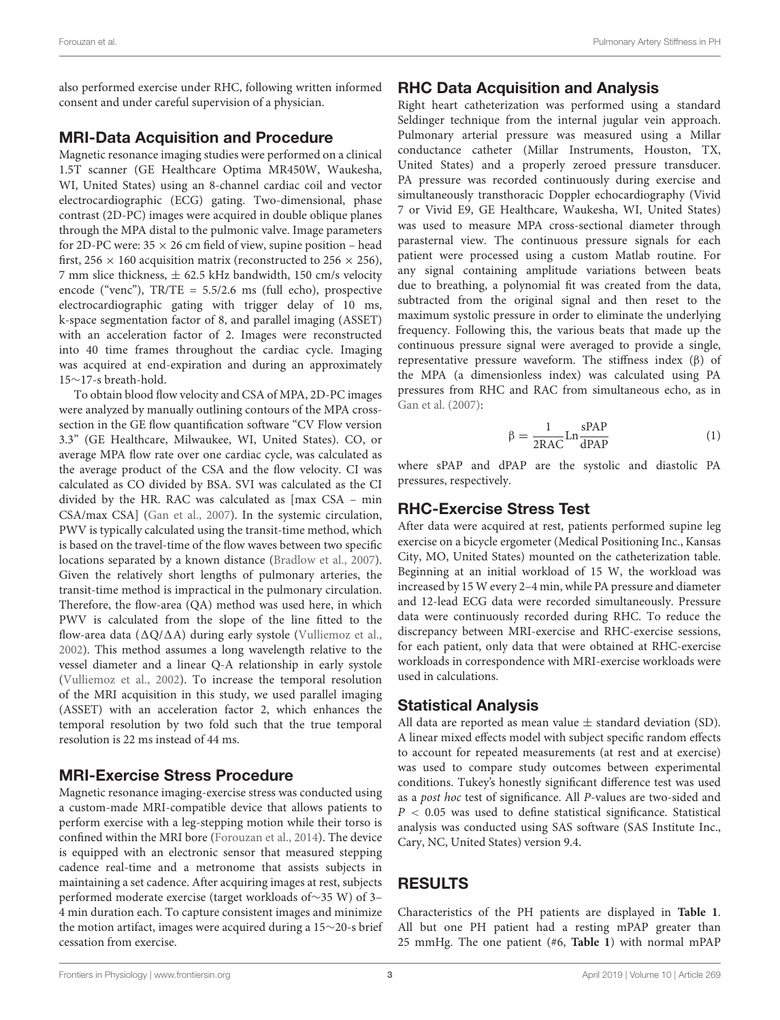also performed exercise under RHC, following written informed consent and under careful supervision of a physician.

#### MRI-Data Acquisition and Procedure

Magnetic resonance imaging studies were performed on a clinical 1.5T scanner (GE Healthcare Optima MR450W, Waukesha, WI, United States) using an 8-channel cardiac coil and vector electrocardiographic (ECG) gating. Two-dimensional, phase contrast (2D-PC) images were acquired in double oblique planes through the MPA distal to the pulmonic valve. Image parameters for 2D-PC were:  $35 \times 26$  cm field of view, supine position – head first,  $256 \times 160$  acquisition matrix (reconstructed to  $256 \times 256$ ), 7 mm slice thickness,  $\pm$  62.5 kHz bandwidth, 150 cm/s velocity encode ("venc"), TR/TE = 5.5/2.6 ms (full echo), prospective electrocardiographic gating with trigger delay of 10 ms, k-space segmentation factor of 8, and parallel imaging (ASSET) with an acceleration factor of 2. Images were reconstructed into 40 time frames throughout the cardiac cycle. Imaging was acquired at end-expiration and during an approximately 15∼17-s breath-hold.

To obtain blood flow velocity and CSA of MPA, 2D-PC images were analyzed by manually outlining contours of the MPA crosssection in the GE flow quantification software "CV Flow version 3.3" (GE Healthcare, Milwaukee, WI, United States). CO, or average MPA flow rate over one cardiac cycle, was calculated as the average product of the CSA and the flow velocity. CI was calculated as CO divided by BSA. SVI was calculated as the CI divided by the HR. RAC was calculated as [max CSA – min CSA/max CSA] [\(Gan et al.,](#page-6-3) [2007\)](#page-6-3). In the systemic circulation, PWV is typically calculated using the transit-time method, which is based on the travel-time of the flow waves between two specific locations separated by a known distance [\(Bradlow et al.,](#page-6-6) [2007\)](#page-6-6). Given the relatively short lengths of pulmonary arteries, the transit-time method is impractical in the pulmonary circulation. Therefore, the flow-area (QA) method was used here, in which PWV is calculated from the slope of the line fitted to the flow-area data ( $\Delta Q/\Delta A$ ) during early systole [\(Vulliemoz et al.,](#page-7-11) [2002\)](#page-7-11). This method assumes a long wavelength relative to the vessel diameter and a linear Q-A relationship in early systole [\(Vulliemoz et al.,](#page-7-11) [2002\)](#page-7-11). To increase the temporal resolution of the MRI acquisition in this study, we used parallel imaging (ASSET) with an acceleration factor 2, which enhances the temporal resolution by two fold such that the true temporal resolution is 22 ms instead of 44 ms.

## MRI-Exercise Stress Procedure

Magnetic resonance imaging-exercise stress was conducted using a custom-made MRI-compatible device that allows patients to perform exercise with a leg-stepping motion while their torso is confined within the MRI bore [\(Forouzan et al.,](#page-6-4) [2014\)](#page-6-4). The device is equipped with an electronic sensor that measured stepping cadence real-time and a metronome that assists subjects in maintaining a set cadence. After acquiring images at rest, subjects performed moderate exercise (target workloads of∼35 W) of 3– 4 min duration each. To capture consistent images and minimize the motion artifact, images were acquired during a 15∼20-s brief cessation from exercise.

## RHC Data Acquisition and Analysis

Right heart catheterization was performed using a standard Seldinger technique from the internal jugular vein approach. Pulmonary arterial pressure was measured using a Millar conductance catheter (Millar Instruments, Houston, TX, United States) and a properly zeroed pressure transducer. PA pressure was recorded continuously during exercise and simultaneously transthoracic Doppler echocardiography (Vivid 7 or Vivid E9, GE Healthcare, Waukesha, WI, United States) was used to measure MPA cross-sectional diameter through parasternal view. The continuous pressure signals for each patient were processed using a custom Matlab routine. For any signal containing amplitude variations between beats due to breathing, a polynomial fit was created from the data, subtracted from the original signal and then reset to the maximum systolic pressure in order to eliminate the underlying frequency. Following this, the various beats that made up the continuous pressure signal were averaged to provide a single, representative pressure waveform. The stiffness index (β) of the MPA (a dimensionless index) was calculated using PA pressures from RHC and RAC from simultaneous echo, as in [Gan et al.](#page-6-3) [\(2007\)](#page-6-3):

$$
\beta = \frac{1}{2RAC} Ln \frac{sPAP}{dPAP}
$$
 (1)

where sPAP and dPAP are the systolic and diastolic PA pressures, respectively.

## RHC-Exercise Stress Test

After data were acquired at rest, patients performed supine leg exercise on a bicycle ergometer (Medical Positioning Inc., Kansas City, MO, United States) mounted on the catheterization table. Beginning at an initial workload of 15 W, the workload was increased by 15 W every 2–4 min, while PA pressure and diameter and 12-lead ECG data were recorded simultaneously. Pressure data were continuously recorded during RHC. To reduce the discrepancy between MRI-exercise and RHC-exercise sessions, for each patient, only data that were obtained at RHC-exercise workloads in correspondence with MRI-exercise workloads were used in calculations.

## Statistical Analysis

All data are reported as mean value  $\pm$  standard deviation (SD). A linear mixed effects model with subject specific random effects to account for repeated measurements (at rest and at exercise) was used to compare study outcomes between experimental conditions. Tukey's honestly significant difference test was used as a post hoc test of significance. All P-values are two-sided and  $P < 0.05$  was used to define statistical significance. Statistical analysis was conducted using SAS software (SAS Institute Inc., Cary, NC, United States) version 9.4.

## RESULTS

Characteristics of the PH patients are displayed in **[Table 1](#page-1-1)**. All but one PH patient had a resting mPAP greater than 25 mmHg. The one patient (#6, **[Table 1](#page-1-1)**) with normal mPAP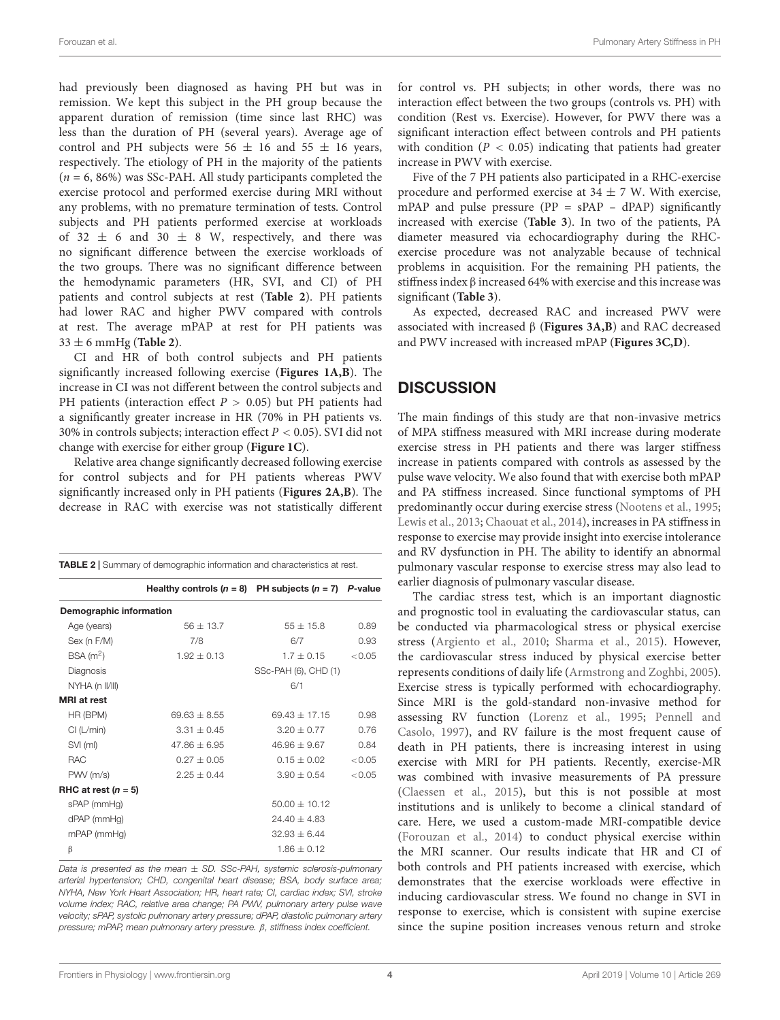had previously been diagnosed as having PH but was in remission. We kept this subject in the PH group because the apparent duration of remission (time since last RHC) was less than the duration of PH (several years). Average age of control and PH subjects were  $56 \pm 16$  and  $55 \pm 16$  years, respectively. The etiology of PH in the majority of the patients  $(n = 6, 86\%)$  was SSc-PAH. All study participants completed the exercise protocol and performed exercise during MRI without any problems, with no premature termination of tests. Control subjects and PH patients performed exercise at workloads of 32  $\pm$  6 and 30  $\pm$  8 W, respectively, and there was no significant difference between the exercise workloads of the two groups. There was no significant difference between the hemodynamic parameters (HR, SVI, and CI) of PH patients and control subjects at rest (**[Table 2](#page-3-0)**). PH patients had lower RAC and higher PWV compared with controls at rest. The average mPAP at rest for PH patients was 33 ± 6 mmHg (**[Table 2](#page-3-0)**).

CI and HR of both control subjects and PH patients significantly increased following exercise (**[Figures 1A,B](#page-4-0)**). The increase in CI was not different between the control subjects and PH patients (interaction effect  $P > 0.05$ ) but PH patients had a significantly greater increase in HR (70% in PH patients vs. 30% in controls subjects; interaction effect  $P < 0.05$ ). SVI did not change with exercise for either group (**[Figure 1C](#page-4-0)**).

Relative area change significantly decreased following exercise for control subjects and for PH patients whereas PWV significantly increased only in PH patients (**[Figures 2A,B](#page-4-1)**). The decrease in RAC with exercise was not statistically different

<span id="page-3-0"></span>

| <b>TABLE 2</b> Summary of demographic information and characteristics at rest. |                                                          |                      |        |  |  |
|--------------------------------------------------------------------------------|----------------------------------------------------------|----------------------|--------|--|--|
|                                                                                | Healthy controls $(n = 8)$ PH subjects $(n = 7)$ P-value |                      |        |  |  |
| Demographic information                                                        |                                                          |                      |        |  |  |
| Age (years)                                                                    | $56 + 13.7$                                              | $55 \pm 15.8$        | 0.89   |  |  |
| Sex (n F/M)                                                                    | 7/8                                                      | 6/7                  | 0.93   |  |  |
| BSA(m <sup>2</sup> )                                                           | $1.92 + 0.13$                                            | $1.7 + 0.15$         | < 0.05 |  |  |
| Diagnosis                                                                      |                                                          | SSc-PAH (6), CHD (1) |        |  |  |
| NYHA (n II/III)                                                                |                                                          | 6/1                  |        |  |  |
| <b>MRI</b> at rest                                                             |                                                          |                      |        |  |  |
| HR (BPM)                                                                       | $69.63 \pm 8.55$                                         | $69.43 \pm 17.15$    | 0.98   |  |  |
| Cl (L/min)                                                                     | $3.31 \pm 0.45$                                          | $3.20 + 0.77$        | 0.76   |  |  |
| SVI (ml)                                                                       | $47.86 \pm 6.95$                                         | $46.96 \pm 9.67$     | 0.84   |  |  |
| <b>RAC</b>                                                                     | $0.27 \pm 0.05$                                          | $0.15 + 0.02$        | < 0.05 |  |  |
| PWV (m/s)                                                                      | $2.25 \pm 0.44$                                          | $3.90 \pm 0.54$      | < 0.05 |  |  |
| RHC at rest $(n = 5)$                                                          |                                                          |                      |        |  |  |
| sPAP (mmHg)                                                                    |                                                          | $50.00 \pm 10.12$    |        |  |  |
| dPAP (mmHg)                                                                    |                                                          | $24.40 \pm 4.83$     |        |  |  |
| $mPAP$ ( $mmHg$ )                                                              |                                                          | $32.93 \pm 6.44$     |        |  |  |
| β                                                                              |                                                          | $1.86 \pm 0.12$      |        |  |  |

Data is presented as the mean  $\pm$  SD. SSc-PAH, systemic sclerosis-pulmonary arterial hypertension; CHD, congenital heart disease; BSA, body surface area; NYHA, New York Heart Association; HR, heart rate; CI, cardiac index; SVI, stroke volume index; RAC, relative area change; PA PWV, pulmonary artery pulse wave velocity; sPAP, systolic pulmonary artery pressure; dPAP, diastolic pulmonary artery pressure; mPAP, mean pulmonary artery pressure. β, stiffness index coefficient.

for control vs. PH subjects; in other words, there was no interaction effect between the two groups (controls vs. PH) with condition (Rest vs. Exercise). However, for PWV there was a significant interaction effect between controls and PH patients with condition ( $P < 0.05$ ) indicating that patients had greater increase in PWV with exercise.

Five of the 7 PH patients also participated in a RHC-exercise procedure and performed exercise at  $34 \pm 7$  W. With exercise, mPAP and pulse pressure ( $PP = sPAP - dPAP$ ) significantly increased with exercise (**[Table 3](#page-5-0)**). In two of the patients, PA diameter measured via echocardiography during the RHCexercise procedure was not analyzable because of technical problems in acquisition. For the remaining PH patients, the stiffness index β increased 64% with exercise and this increase was significant (**[Table 3](#page-5-0)**).

As expected, decreased RAC and increased PWV were associated with increased β (**[Figures 3A,B](#page-5-1)**) and RAC decreased and PWV increased with increased mPAP (**[Figures 3C,D](#page-5-1)**).

# **DISCUSSION**

The main findings of this study are that non-invasive metrics of MPA stiffness measured with MRI increase during moderate exercise stress in PH patients and there was larger stiffness increase in patients compared with controls as assessed by the pulse wave velocity. We also found that with exercise both mPAP and PA stiffness increased. Since functional symptoms of PH predominantly occur during exercise stress [\(Nootens et al.,](#page-7-6) [1995;](#page-7-6) [Lewis et al.,](#page-7-7) [2013;](#page-7-7) [Chaouat et al.,](#page-6-1) [2014\)](#page-6-1), increases in PA stiffness in response to exercise may provide insight into exercise intolerance and RV dysfunction in PH. The ability to identify an abnormal pulmonary vascular response to exercise stress may also lead to earlier diagnosis of pulmonary vascular disease.

The cardiac stress test, which is an important diagnostic and prognostic tool in evaluating the cardiovascular status, can be conducted via pharmacological stress or physical exercise stress [\(Argiento et al.,](#page-6-7) [2010;](#page-6-7) [Sharma et al.,](#page-7-12) [2015\)](#page-7-12). However, the cardiovascular stress induced by physical exercise better represents conditions of daily life [\(Armstrong and Zoghbi,](#page-6-8) [2005\)](#page-6-8). Exercise stress is typically performed with echocardiography. Since MRI is the gold-standard non-invasive method for assessing RV function [\(Lorenz et al.,](#page-7-13) [1995;](#page-7-13) [Pennell and](#page-7-14) [Casolo,](#page-7-14) [1997\)](#page-7-14), and RV failure is the most frequent cause of death in PH patients, there is increasing interest in using exercise with MRI for PH patients. Recently, exercise-MR was combined with invasive measurements of PA pressure [\(Claessen et al.,](#page-6-9) [2015\)](#page-6-9), but this is not possible at most institutions and is unlikely to become a clinical standard of care. Here, we used a custom-made MRI-compatible device [\(Forouzan et al.,](#page-6-4) [2014\)](#page-6-4) to conduct physical exercise within the MRI scanner. Our results indicate that HR and CI of both controls and PH patients increased with exercise, which demonstrates that the exercise workloads were effective in inducing cardiovascular stress. We found no change in SVI in response to exercise, which is consistent with supine exercise since the supine position increases venous return and stroke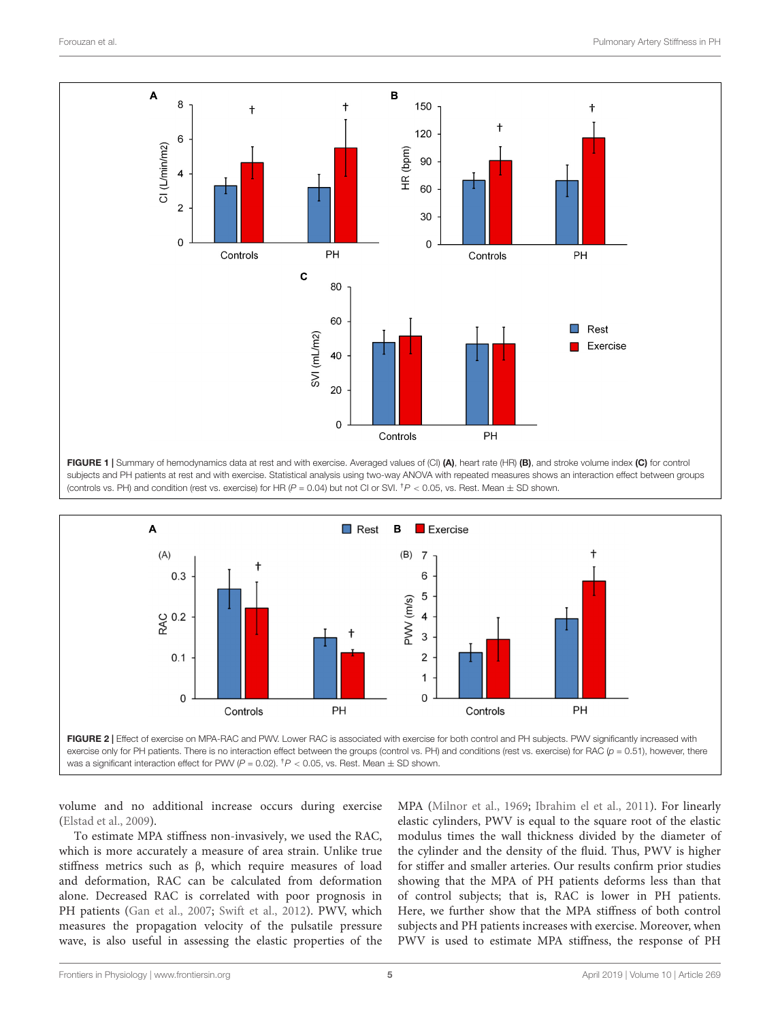

<span id="page-4-0"></span>FIGURE 1 | Summary of hemodynamics data at rest and with exercise. Averaged values of (CI) (A), heart rate (HR) (B), and stroke volume index (C) for control subjects and PH patients at rest and with exercise. Statistical analysis using two-way ANOVA with repeated measures shows an interaction effect between groups (controls vs. PH) and condition (rest vs. exercise) for HR ( $P = 0.04$ ) but not CI or SVI.  $\hbar P < 0.05$ , vs. Rest. Mean  $\pm$  SD shown.



<span id="page-4-1"></span>volume and no additional increase occurs during exercise [\(Elstad et al.,](#page-6-10) [2009\)](#page-6-10).

To estimate MPA stiffness non-invasively, we used the RAC, which is more accurately a measure of area strain. Unlike true stiffness metrics such as β, which require measures of load and deformation, RAC can be calculated from deformation alone. Decreased RAC is correlated with poor prognosis in PH patients [\(Gan et al.,](#page-6-3) [2007;](#page-6-3) [Swift et al.,](#page-7-10) [2012\)](#page-7-10). PWV, which measures the propagation velocity of the pulsatile pressure wave, is also useful in assessing the elastic properties of the MPA [\(Milnor et al.,](#page-7-15) [1969;](#page-7-15) [Ibrahim el et al.,](#page-7-16) [2011\)](#page-7-16). For linearly elastic cylinders, PWV is equal to the square root of the elastic modulus times the wall thickness divided by the diameter of the cylinder and the density of the fluid. Thus, PWV is higher for stiffer and smaller arteries. Our results confirm prior studies showing that the MPA of PH patients deforms less than that of control subjects; that is, RAC is lower in PH patients. Here, we further show that the MPA stiffness of both control subjects and PH patients increases with exercise. Moreover, when PWV is used to estimate MPA stiffness, the response of PH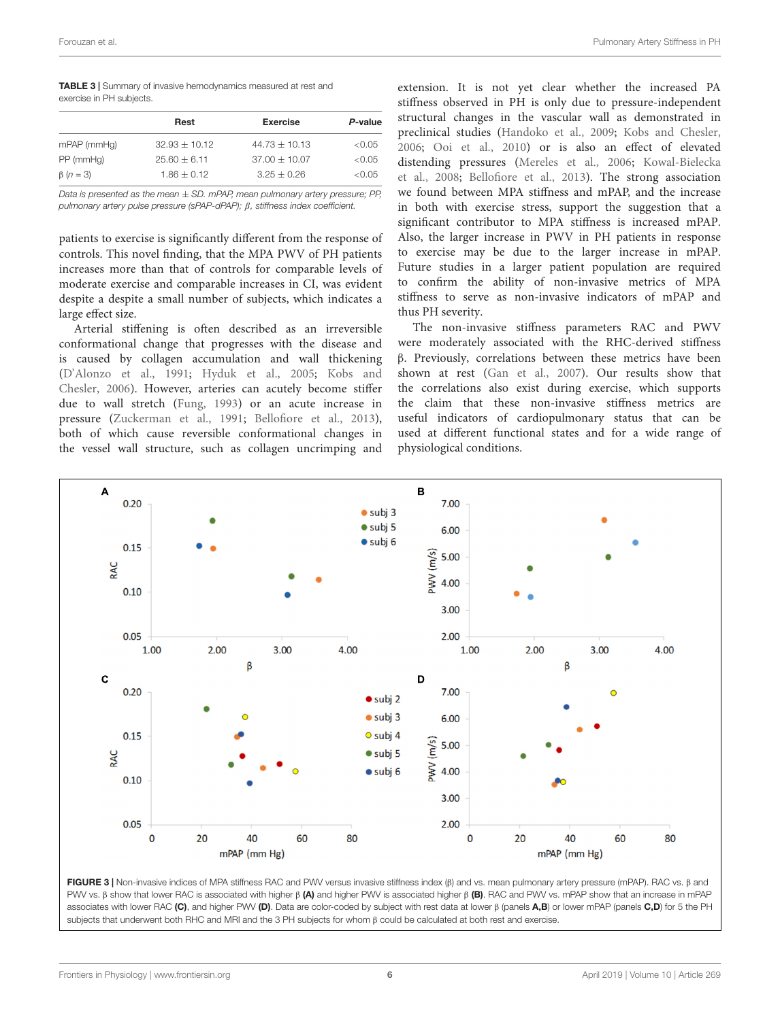<span id="page-5-0"></span>TABLE 3 | Summary of invasive hemodynamics measured at rest and exercise in PH subjects.

|                 | Rest            | <b>Exercise</b> | P-value |  |  |
|-----------------|-----------------|-----------------|---------|--|--|
| mPAP (mmHg)     | $32.93 + 10.12$ | $44.73 + 10.13$ | < 0.05  |  |  |
| PP (mmHg)       | $25.60 + 6.11$  | $37.00 + 10.07$ | < 0.05  |  |  |
| $\beta$ (n = 3) | $1.86 + 0.12$   | $3.25 + 0.26$   | < 0.05  |  |  |

Data is presented as the mean  $\pm$  SD. mPAP, mean pulmonary artery pressure; PP, pulmonary artery pulse pressure (sPAP-dPAP); β, stiffness index coefficient.

patients to exercise is significantly different from the response of controls. This novel finding, that the MPA PWV of PH patients increases more than that of controls for comparable levels of moderate exercise and comparable increases in CI, was evident despite a despite a small number of subjects, which indicates a large effect size.

Arterial stiffening is often described as an irreversible conformational change that progresses with the disease and is caused by collagen accumulation and wall thickening [\(D'Alonzo et al.,](#page-6-11) [1991;](#page-6-11) [Hyduk et al.,](#page-7-17) [2005;](#page-7-17) [Kobs and](#page-7-18) [Chesler,](#page-7-18) [2006\)](#page-7-18). However, arteries can acutely become stiffer due to wall stretch [\(Fung,](#page-6-12) [1993\)](#page-6-12) or an acute increase in pressure [\(Zuckerman et al.,](#page-7-3) [1991;](#page-7-3) [Bellofiore et al.,](#page-6-13) [2013\)](#page-6-13), both of which cause reversible conformational changes in the vessel wall structure, such as collagen uncrimping and

extension. It is not yet clear whether the increased PA stiffness observed in PH is only due to pressure-independent structural changes in the vascular wall as demonstrated in preclinical studies [\(Handoko et al.,](#page-7-19) [2009;](#page-7-19) [Kobs and Chesler,](#page-7-18) [2006;](#page-7-18) [Ooi et al.,](#page-7-20) [2010\)](#page-7-20) or is also an effect of elevated distending pressures [\(Mereles et al.,](#page-7-21) [2006;](#page-7-21) [Kowal-Bielecka](#page-7-22) [et al.,](#page-7-22) [2008;](#page-7-22) [Bellofiore et al.,](#page-6-13) [2013\)](#page-6-13). The strong association we found between MPA stiffness and mPAP, and the increase in both with exercise stress, support the suggestion that a significant contributor to MPA stiffness is increased mPAP. Also, the larger increase in PWV in PH patients in response to exercise may be due to the larger increase in mPAP. Future studies in a larger patient population are required to confirm the ability of non-invasive metrics of MPA stiffness to serve as non-invasive indicators of mPAP and thus PH severity.

The non-invasive stiffness parameters RAC and PWV were moderately associated with the RHC-derived stiffness β. Previously, correlations between these metrics have been shown at rest [\(Gan et al.,](#page-6-3) [2007\)](#page-6-3). Our results show that the correlations also exist during exercise, which supports the claim that these non-invasive stiffness metrics are useful indicators of cardiopulmonary status that can be used at different functional states and for a wide range of physiological conditions.



<span id="page-5-1"></span>FIGURE 3 | Non-invasive indices of MPA stiffness RAC and PWV versus invasive stiffness index (β) and vs. mean pulmonary artery pressure (mPAP). RAC vs. β and PWV vs. β show that lower RAC is associated with higher β (A) and higher PWV is associated higher β (B). RAC and PWV vs. mPAP show that an increase in mPAP associates with lower RAC (C), and higher PWV (D). Data are color-coded by subject with rest data at lower β (panels A,B) or lower mPAP (panels C,D) for 5 the PH subjects that underwent both RHC and MRI and the 3 PH subjects for whom β could be calculated at both rest and exercise.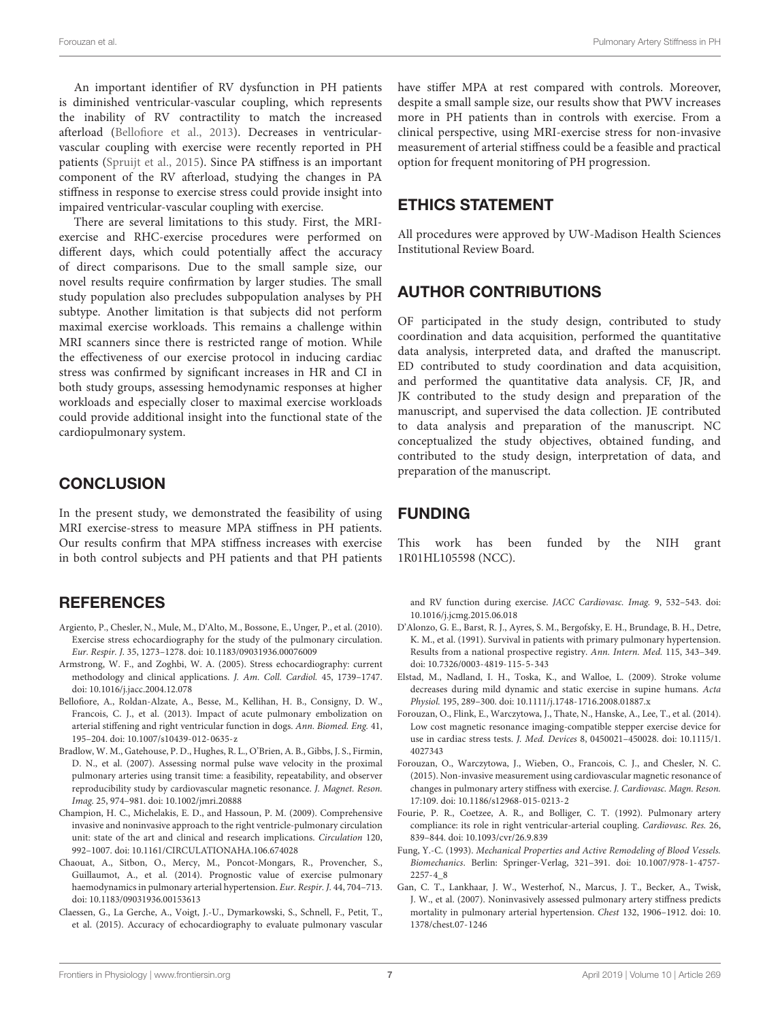An important identifier of RV dysfunction in PH patients is diminished ventricular-vascular coupling, which represents the inability of RV contractility to match the increased afterload [\(Bellofiore et al.,](#page-6-13) [2013\)](#page-6-13). Decreases in ventricularvascular coupling with exercise were recently reported in PH patients [\(Spruijt et al.,](#page-7-23) [2015\)](#page-7-23). Since PA stiffness is an important component of the RV afterload, studying the changes in PA stiffness in response to exercise stress could provide insight into impaired ventricular-vascular coupling with exercise.

There are several limitations to this study. First, the MRIexercise and RHC-exercise procedures were performed on different days, which could potentially affect the accuracy of direct comparisons. Due to the small sample size, our novel results require confirmation by larger studies. The small study population also precludes subpopulation analyses by PH subtype. Another limitation is that subjects did not perform maximal exercise workloads. This remains a challenge within MRI scanners since there is restricted range of motion. While the effectiveness of our exercise protocol in inducing cardiac stress was confirmed by significant increases in HR and CI in both study groups, assessing hemodynamic responses at higher workloads and especially closer to maximal exercise workloads could provide additional insight into the functional state of the cardiopulmonary system.

#### **CONCLUSION**

In the present study, we demonstrated the feasibility of using MRI exercise-stress to measure MPA stiffness in PH patients. Our results confirm that MPA stiffness increases with exercise in both control subjects and PH patients and that PH patients

#### **REFERENCES**

- <span id="page-6-7"></span>Argiento, P., Chesler, N., Mule, M., D'Alto, M., Bossone, E., Unger, P., et al. (2010). Exercise stress echocardiography for the study of the pulmonary circulation. Eur. Respir. J. 35, 1273–1278. [doi: 10.1183/09031936.00076009](https://doi.org/10.1183/09031936.00076009)
- <span id="page-6-8"></span>Armstrong, W. F., and Zoghbi, W. A. (2005). Stress echocardiography: current methodology and clinical applications. J. Am. Coll. Cardiol. 45, 1739–1747. [doi: 10.1016/j.jacc.2004.12.078](https://doi.org/10.1016/j.jacc.2004.12.078)
- <span id="page-6-13"></span>Bellofiore, A., Roldan-Alzate, A., Besse, M., Kellihan, H. B., Consigny, D. W., Francois, C. J., et al. (2013). Impact of acute pulmonary embolization on arterial stiffening and right ventricular function in dogs. Ann. Biomed. Eng. 41, 195–204. [doi: 10.1007/s10439-012-0635-z](https://doi.org/10.1007/s10439-012-0635-z)
- <span id="page-6-6"></span>Bradlow, W. M., Gatehouse, P. D., Hughes, R. L., O'Brien, A. B., Gibbs, J. S., Firmin, D. N., et al. (2007). Assessing normal pulse wave velocity in the proximal pulmonary arteries using transit time: a feasibility, repeatability, and observer reproducibility study by cardiovascular magnetic resonance. J. Magnet. Reson. Imag. 25, 974–981. [doi: 10.1002/jmri.20888](https://doi.org/10.1002/jmri.20888)
- <span id="page-6-2"></span>Champion, H. C., Michelakis, E. D., and Hassoun, P. M. (2009). Comprehensive invasive and noninvasive approach to the right ventricle-pulmonary circulation unit: state of the art and clinical and research implications. Circulation 120, 992–1007. [doi: 10.1161/CIRCULATIONAHA.106.674028](https://doi.org/10.1161/CIRCULATIONAHA.106.674028)
- <span id="page-6-1"></span>Chaouat, A., Sitbon, O., Mercy, M., Poncot-Mongars, R., Provencher, S., Guillaumot, A., et al. (2014). Prognostic value of exercise pulmonary haemodynamics in pulmonary arterial hypertension. Eur. Respir. J. 44, 704–713. [doi: 10.1183/09031936.00153613](https://doi.org/10.1183/09031936.00153613)
- <span id="page-6-9"></span>Claessen, G., La Gerche, A., Voigt, J.-U., Dymarkowski, S., Schnell, F., Petit, T., et al. (2015). Accuracy of echocardiography to evaluate pulmonary vascular

have stiffer MPA at rest compared with controls. Moreover, despite a small sample size, our results show that PWV increases more in PH patients than in controls with exercise. From a clinical perspective, using MRI-exercise stress for non-invasive measurement of arterial stiffness could be a feasible and practical option for frequent monitoring of PH progression.

#### ETHICS STATEMENT

All procedures were approved by UW-Madison Health Sciences Institutional Review Board.

## AUTHOR CONTRIBUTIONS

OF participated in the study design, contributed to study coordination and data acquisition, performed the quantitative data analysis, interpreted data, and drafted the manuscript. ED contributed to study coordination and data acquisition, and performed the quantitative data analysis. CF, JR, and JK contributed to the study design and preparation of the manuscript, and supervised the data collection. JE contributed to data analysis and preparation of the manuscript. NC conceptualized the study objectives, obtained funding, and contributed to the study design, interpretation of data, and preparation of the manuscript.

#### FUNDING

This work has been funded by the NIH grant 1R01HL105598 (NCC).

and RV function during exercise. JACC Cardiovasc. Imag. 9, 532–543. [doi:](https://doi.org/10.1016/j.jcmg.2015.06.018) [10.1016/j.jcmg.2015.06.018](https://doi.org/10.1016/j.jcmg.2015.06.018)

- <span id="page-6-11"></span>D'Alonzo, G. E., Barst, R. J., Ayres, S. M., Bergofsky, E. H., Brundage, B. H., Detre, K. M., et al. (1991). Survival in patients with primary pulmonary hypertension. Results from a national prospective registry. Ann. Intern. Med. 115, 343–349. [doi: 10.7326/0003-4819-115-5-343](https://doi.org/10.7326/0003-4819-115-5-343)
- <span id="page-6-10"></span>Elstad, M., Nadland, I. H., Toska, K., and Walloe, L. (2009). Stroke volume decreases during mild dynamic and static exercise in supine humans. Acta Physiol. 195, 289–300. [doi: 10.1111/j.1748-1716.2008.01887.x](https://doi.org/10.1111/j.1748-1716.2008.01887.x)
- <span id="page-6-4"></span>Forouzan, O., Flink, E., Warczytowa, J., Thate, N., Hanske, A., Lee, T., et al. (2014). Low cost magnetic resonance imaging-compatible stepper exercise device for use in cardiac stress tests. J. Med. Devices 8, 0450021–450028. [doi: 10.1115/1.](https://doi.org/10.1115/1.4027343) [4027343](https://doi.org/10.1115/1.4027343)
- <span id="page-6-5"></span>Forouzan, O., Warczytowa, J., Wieben, O., Francois, C. J., and Chesler, N. C. (2015). Non-invasive measurement using cardiovascular magnetic resonance of changes in pulmonary artery stiffness with exercise. J. Cardiovasc. Magn. Reson. 17:109. [doi: 10.1186/s12968-015-0213-2](https://doi.org/10.1186/s12968-015-0213-2)
- <span id="page-6-0"></span>Fourie, P. R., Coetzee, A. R., and Bolliger, C. T. (1992). Pulmonary artery compliance: its role in right ventricular-arterial coupling. Cardiovasc. Res. 26, 839–844. [doi: 10.1093/cvr/26.9.839](https://doi.org/10.1093/cvr/26.9.839)
- <span id="page-6-12"></span>Fung, Y.-C. (1993). Mechanical Properties and Active Remodeling of Blood Vessels. Biomechanics. Berlin: Springer-Verlag, 321–391. [doi: 10.1007/978-1-4757-](https://doi.org/10.1007/978-1-4757-2257-4_8) [2257-4\\_8](https://doi.org/10.1007/978-1-4757-2257-4_8)
- <span id="page-6-3"></span>Gan, C. T., Lankhaar, J. W., Westerhof, N., Marcus, J. T., Becker, A., Twisk, J. W., et al. (2007). Noninvasively assessed pulmonary artery stiffness predicts mortality in pulmonary arterial hypertension. Chest 132, 1906–1912. [doi: 10.](https://doi.org/10.1378/chest.07-1246) [1378/chest.07-1246](https://doi.org/10.1378/chest.07-1246)